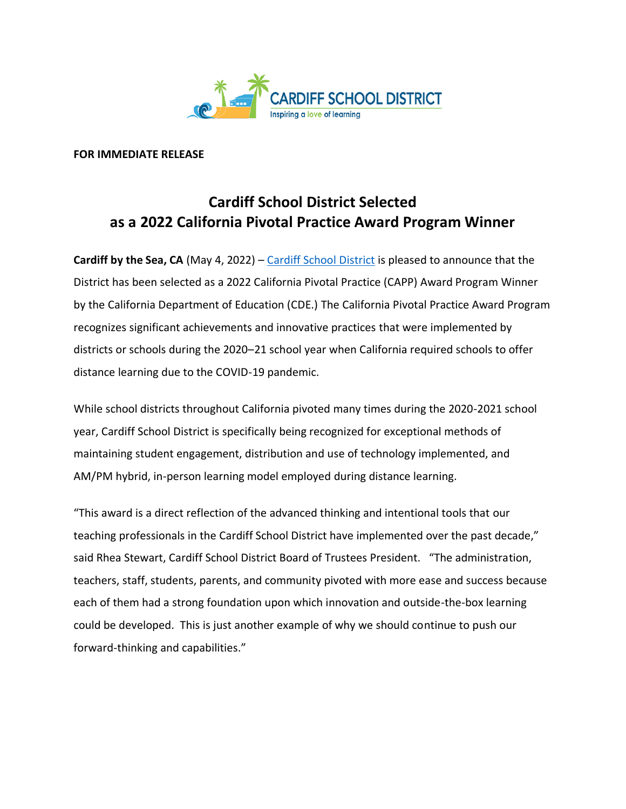

#### **FOR IMMEDIATE RELEASE**

### **Cardiff School District Selected as a 2022 California Pivotal Practice Award Program Winner**

**Cardiff by the Sea, CA** (May 4, 2022) – [Cardiff School District](https://www.cardiffschools.com/) is pleased to announce that the District has been selected as a 2022 California Pivotal Practice (CAPP) Award Program Winner by the California Department of Education (CDE.) The California Pivotal Practice Award Program recognizes significant achievements and innovative practices that were implemented by districts or schools during the 2020–21 school year when California required schools to offer distance learning due to the COVID-19 pandemic.

While school districts throughout California pivoted many times during the 2020-2021 school year, Cardiff School District is specifically being recognized for exceptional methods of maintaining student engagement, distribution and use of technology implemented, and AM/PM hybrid, in-person learning model employed during distance learning.

"This award is a direct reflection of the advanced thinking and intentional tools that our teaching professionals in the Cardiff School District have implemented over the past decade," said Rhea Stewart, Cardiff School District Board of Trustees President. "The administration, teachers, staff, students, parents, and community pivoted with more ease and success because each of them had a strong foundation upon which innovation and outside-the-box learning could be developed. This is just another example of why we should continue to push our forward-thinking and capabilities."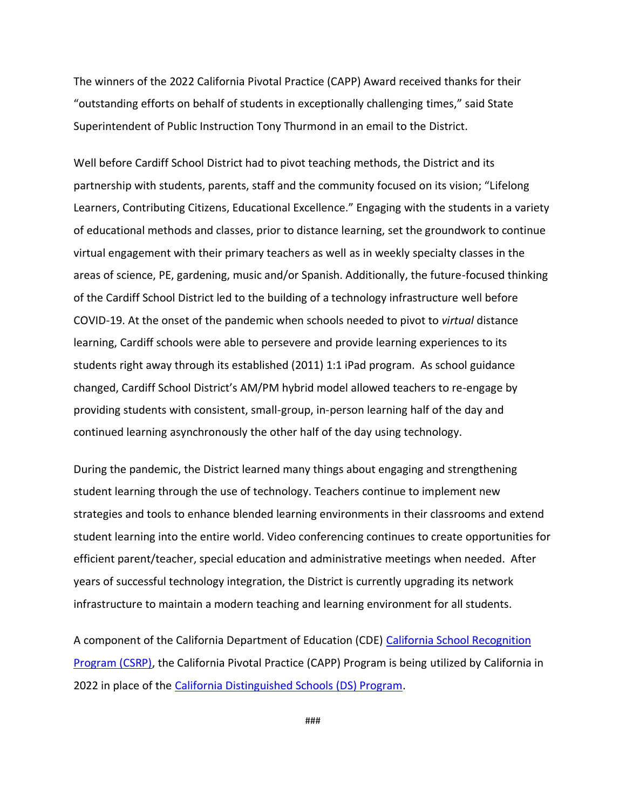The winners of the 2022 California Pivotal Practice (CAPP) Award received thanks for their "outstanding efforts on behalf of students in exceptionally challenging times," said State Superintendent of Public Instruction Tony Thurmond in an email to the District.

Well before Cardiff School District had to pivot teaching methods, the District and its partnership with students, parents, staff and the community focused on its vision; "Lifelong Learners, Contributing Citizens, Educational Excellence." Engaging with the students in a variety of educational methods and classes, prior to distance learning, set the groundwork to continue virtual engagement with their primary teachers as well as in weekly specialty classes in the areas of science, PE, gardening, music and/or Spanish. Additionally, the future-focused thinking of the Cardiff School District led to the building of a technology infrastructure well before COVID-19. At the onset of the pandemic when schools needed to pivot to *virtual* distance learning, Cardiff schools were able to persevere and provide learning experiences to its students right away through its established (2011) 1:1 iPad program. As school guidance changed, Cardiff School District's AM/PM hybrid model allowed teachers to re-engage by providing students with consistent, small-group, in-person learning half of the day and continued learning asynchronously the other half of the day using technology.

During the pandemic, the District learned many things about engaging and strengthening student learning through the use of technology. Teachers continue to implement new strategies and tools to enhance blended learning environments in their classrooms and extend student learning into the entire world. Video conferencing continues to create opportunities for efficient parent/teacher, special education and administrative meetings when needed. After years of successful technology integration, the District is currently upgrading its network infrastructure to maintain a modern teaching and learning environment for all students.

A component of the California Department of Education (CDE) [California School Recognition](https://www.cde.ca.gov/ta/sr/cs/csrp.asp)  [Program \(CSRP\),](https://www.cde.ca.gov/ta/sr/cs/csrp.asp) the California Pivotal Practice (CAPP) Program is being utilized by California in 2022 in place of the [California Distinguished Schools \(DS\) Program.](https://www.cde.ca.gov/ta/sr/cs/index.asp)